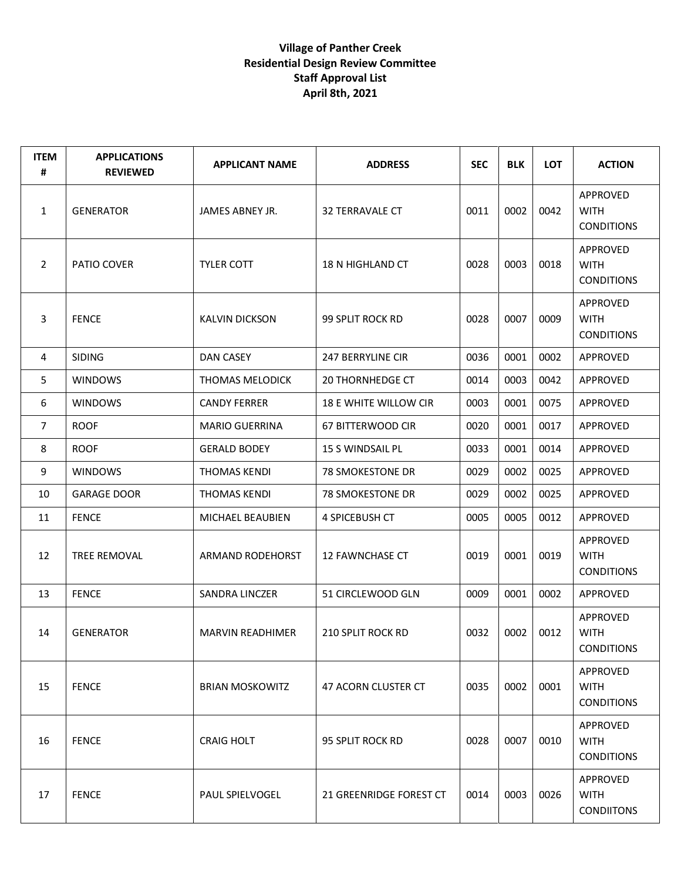| <b>ITEM</b><br># | <b>APPLICATIONS</b><br><b>REVIEWED</b> | <b>APPLICANT NAME</b>   | <b>ADDRESS</b>          | <b>SEC</b> | <b>BLK</b> | <b>LOT</b> | <b>ACTION</b>                                |
|------------------|----------------------------------------|-------------------------|-------------------------|------------|------------|------------|----------------------------------------------|
| 1                | <b>GENERATOR</b>                       | JAMES ABNEY JR.         | <b>32 TERRAVALE CT</b>  | 0011       | 0002       | 0042       | APPROVED<br><b>WITH</b><br><b>CONDITIONS</b> |
| $\overline{2}$   | PATIO COVER                            | <b>TYLER COTT</b>       | 18 N HIGHLAND CT        | 0028       | 0003       | 0018       | APPROVED<br><b>WITH</b><br><b>CONDITIONS</b> |
| 3                | <b>FENCE</b>                           | <b>KALVIN DICKSON</b>   | 99 SPLIT ROCK RD        | 0028       | 0007       | 0009       | APPROVED<br><b>WITH</b><br><b>CONDITIONS</b> |
| 4                | <b>SIDING</b>                          | DAN CASEY               | 247 BERRYLINE CIR       | 0036       | 0001       | 0002       | APPROVED                                     |
| 5                | <b>WINDOWS</b>                         | <b>THOMAS MELODICK</b>  | <b>20 THORNHEDGE CT</b> | 0014       | 0003       | 0042       | APPROVED                                     |
| 6                | <b>WINDOWS</b>                         | <b>CANDY FERRER</b>     | 18 E WHITE WILLOW CIR   | 0003       | 0001       | 0075       | APPROVED                                     |
| $\overline{7}$   | <b>ROOF</b>                            | <b>MARIO GUERRINA</b>   | 67 BITTERWOOD CIR       | 0020       | 0001       | 0017       | APPROVED                                     |
| 8                | <b>ROOF</b>                            | <b>GERALD BODEY</b>     | <b>15 S WINDSAIL PL</b> | 0033       | 0001       | 0014       | APPROVED                                     |
| 9                | <b>WINDOWS</b>                         | <b>THOMAS KENDI</b>     | 78 SMOKESTONE DR        | 0029       | 0002       | 0025       | APPROVED                                     |
| 10               | <b>GARAGE DOOR</b>                     | <b>THOMAS KENDI</b>     | <b>78 SMOKESTONE DR</b> | 0029       | 0002       | 0025       | APPROVED                                     |
| 11               | <b>FENCE</b>                           | MICHAEL BEAUBIEN        | 4 SPICEBUSH CT          | 0005       | 0005       | 0012       | APPROVED                                     |
| 12               | <b>TREE REMOVAL</b>                    | <b>ARMAND RODEHORST</b> | <b>12 FAWNCHASE CT</b>  | 0019       | 0001       | 0019       | APPROVED<br><b>WITH</b><br><b>CONDITIONS</b> |
| 13               | <b>FENCE</b>                           | <b>SANDRA LINCZER</b>   | 51 CIRCLEWOOD GLN       | 0009       | 0001       | 0002       | APPROVED                                     |
| 14               | <b>GENERATOR</b>                       | MARVIN READHIMER        | 210 SPLIT ROCK RD       | 0032       | 0002       | 0012       | APPROVED<br><b>WITH</b><br><b>CONDITIONS</b> |
| 15               | <b>FENCE</b>                           | <b>BRIAN MOSKOWITZ</b>  | 47 ACORN CLUSTER CT     | 0035       | 0002       | 0001       | APPROVED<br><b>WITH</b><br><b>CONDITIONS</b> |
| 16               | <b>FENCE</b>                           | <b>CRAIG HOLT</b>       | 95 SPLIT ROCK RD        | 0028       | 0007       | 0010       | APPROVED<br><b>WITH</b><br><b>CONDITIONS</b> |
| 17               | <b>FENCE</b>                           | <b>PAUL SPIELVOGEL</b>  | 21 GREENRIDGE FOREST CT | 0014       | 0003       | 0026       | APPROVED<br><b>WITH</b><br><b>CONDIITONS</b> |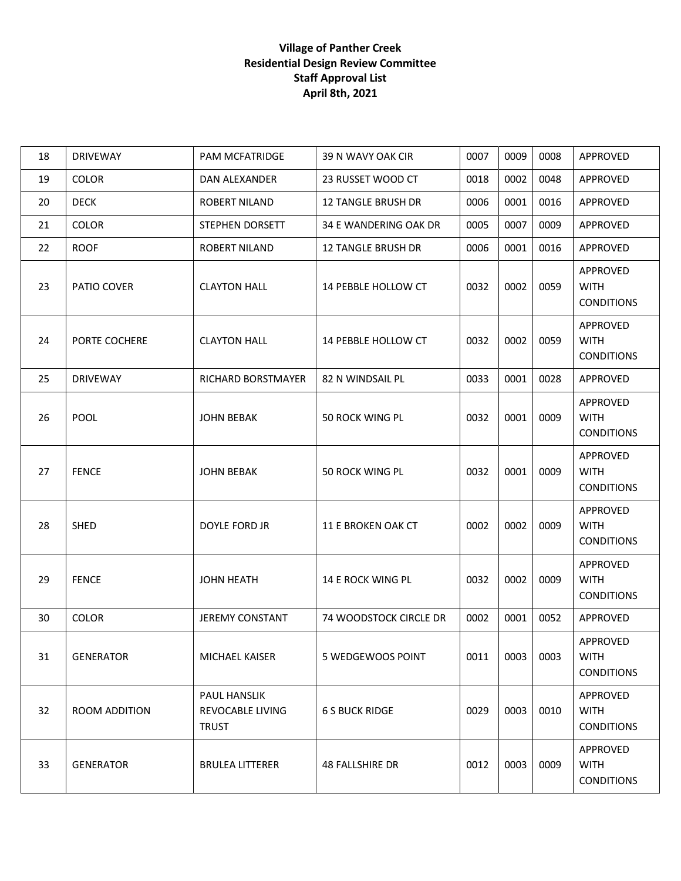| 18 | <b>DRIVEWAY</b>  | <b>PAM MCFATRIDGE</b>                            | 39 N WAVY OAK CIR         | 0007 | 0009 | 0008 | APPROVED                                     |
|----|------------------|--------------------------------------------------|---------------------------|------|------|------|----------------------------------------------|
| 19 | <b>COLOR</b>     | DAN ALEXANDER                                    | 23 RUSSET WOOD CT         | 0018 | 0002 | 0048 | APPROVED                                     |
| 20 | <b>DECK</b>      | <b>ROBERT NILAND</b>                             | <b>12 TANGLE BRUSH DR</b> | 0006 | 0001 | 0016 | APPROVED                                     |
| 21 | <b>COLOR</b>     | STEPHEN DORSETT                                  | 34 E WANDERING OAK DR     | 0005 | 0007 | 0009 | APPROVED                                     |
| 22 | <b>ROOF</b>      | <b>ROBERT NILAND</b>                             | <b>12 TANGLE BRUSH DR</b> | 0006 | 0001 | 0016 | APPROVED                                     |
| 23 | PATIO COVER      | <b>CLAYTON HALL</b>                              | 14 PEBBLE HOLLOW CT       | 0032 | 0002 | 0059 | APPROVED<br><b>WITH</b><br><b>CONDITIONS</b> |
| 24 | PORTE COCHERE    | <b>CLAYTON HALL</b>                              | 14 PEBBLE HOLLOW CT       | 0032 | 0002 | 0059 | APPROVED<br><b>WITH</b><br><b>CONDITIONS</b> |
| 25 | <b>DRIVEWAY</b>  | RICHARD BORSTMAYER                               | 82 N WINDSAIL PL          | 0033 | 0001 | 0028 | APPROVED                                     |
| 26 | POOL             | <b>JOHN BEBAK</b>                                | 50 ROCK WING PL           | 0032 | 0001 | 0009 | APPROVED<br><b>WITH</b><br><b>CONDITIONS</b> |
| 27 | <b>FENCE</b>     | <b>JOHN BEBAK</b>                                | <b>50 ROCK WING PL</b>    | 0032 | 0001 | 0009 | APPROVED<br><b>WITH</b><br><b>CONDITIONS</b> |
| 28 | <b>SHED</b>      | <b>DOYLE FORD JR</b>                             | 11 E BROKEN OAK CT        | 0002 | 0002 | 0009 | APPROVED<br><b>WITH</b><br><b>CONDITIONS</b> |
| 29 | <b>FENCE</b>     | <b>JOHN HEATH</b>                                | 14 E ROCK WING PL         | 0032 | 0002 | 0009 | APPROVED<br><b>WITH</b><br><b>CONDITIONS</b> |
| 30 | <b>COLOR</b>     | <b>JEREMY CONSTANT</b>                           | 74 WOODSTOCK CIRCLE DR    | 0002 | 0001 | 0052 | APPROVED                                     |
| 31 | <b>GENERATOR</b> | MICHAEL KAISER                                   | 5 WEDGEWOOS POINT         | 0011 | 0003 | 0003 | APPROVED<br><b>WITH</b><br><b>CONDITIONS</b> |
| 32 | ROOM ADDITION    | PAUL HANSLIK<br>REVOCABLE LIVING<br><b>TRUST</b> | <b>6 S BUCK RIDGE</b>     | 0029 | 0003 | 0010 | APPROVED<br><b>WITH</b><br><b>CONDITIONS</b> |
| 33 | <b>GENERATOR</b> | <b>BRULEA LITTERER</b>                           | 48 FALLSHIRE DR           | 0012 | 0003 | 0009 | APPROVED<br><b>WITH</b><br><b>CONDITIONS</b> |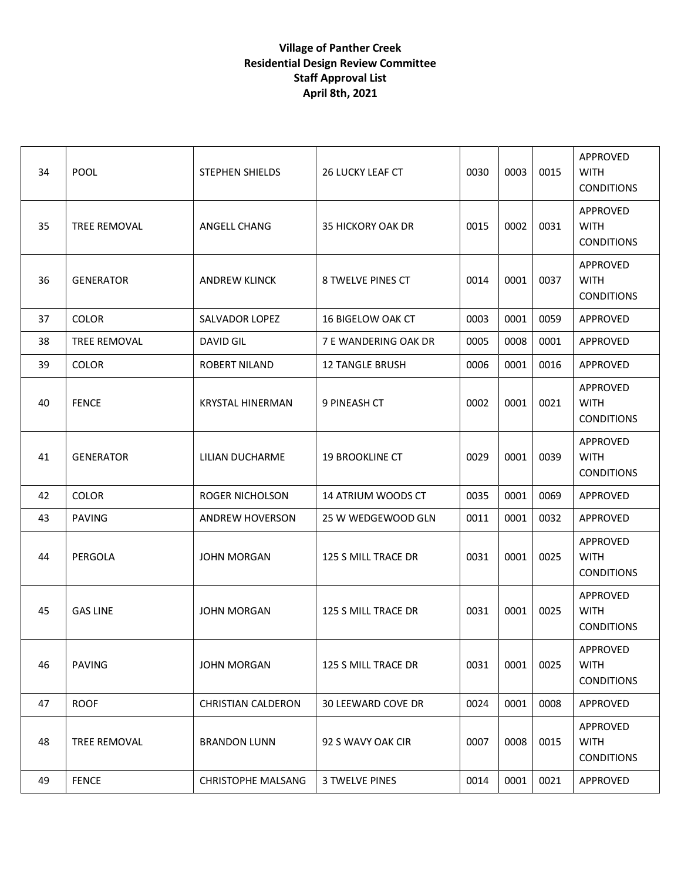| 34 | POOL                | <b>STEPHEN SHIELDS</b>    | <b>26 LUCKY LEAF CT</b>   | 0030 | 0003 | 0015 | APPROVED<br><b>WITH</b><br><b>CONDITIONS</b>        |
|----|---------------------|---------------------------|---------------------------|------|------|------|-----------------------------------------------------|
| 35 | TREE REMOVAL        | ANGELL CHANG              | <b>35 HICKORY OAK DR</b>  | 0015 | 0002 | 0031 | APPROVED<br><b>WITH</b><br><b>CONDITIONS</b>        |
| 36 | <b>GENERATOR</b>    | <b>ANDREW KLINCK</b>      | 8 TWELVE PINES CT         | 0014 | 0001 | 0037 | APPROVED<br><b>WITH</b><br><b>CONDITIONS</b>        |
| 37 | <b>COLOR</b>        | <b>SALVADOR LOPEZ</b>     | 16 BIGELOW OAK CT         | 0003 | 0001 | 0059 | APPROVED                                            |
| 38 | <b>TREE REMOVAL</b> | DAVID GIL                 | 7 E WANDERING OAK DR      | 0005 | 0008 | 0001 | <b>APPROVED</b>                                     |
| 39 | <b>COLOR</b>        | <b>ROBERT NILAND</b>      | <b>12 TANGLE BRUSH</b>    | 0006 | 0001 | 0016 | APPROVED                                            |
| 40 | <b>FENCE</b>        | <b>KRYSTAL HINERMAN</b>   | 9 PINEASH CT              | 0002 | 0001 | 0021 | <b>APPROVED</b><br><b>WITH</b><br><b>CONDITIONS</b> |
| 41 | <b>GENERATOR</b>    | LILIAN DUCHARME           | <b>19 BROOKLINE CT</b>    | 0029 | 0001 | 0039 | <b>APPROVED</b><br><b>WITH</b><br><b>CONDITIONS</b> |
| 42 | <b>COLOR</b>        | <b>ROGER NICHOLSON</b>    | <b>14 ATRIUM WOODS CT</b> | 0035 | 0001 | 0069 | APPROVED                                            |
| 43 | <b>PAVING</b>       | <b>ANDREW HOVERSON</b>    | 25 W WEDGEWOOD GLN        | 0011 | 0001 | 0032 | APPROVED                                            |
| 44 | PERGOLA             | <b>JOHN MORGAN</b>        | 125 S MILL TRACE DR       | 0031 | 0001 | 0025 | <b>APPROVED</b><br><b>WITH</b><br><b>CONDITIONS</b> |
| 45 | <b>GAS LINE</b>     | <b>JOHN MORGAN</b>        | 125 S MILL TRACE DR       | 0031 | 0001 | 0025 | APPROVED<br><b>WITH</b><br><b>CONDITIONS</b>        |
| 46 | <b>PAVING</b>       | <b>JOHN MORGAN</b>        | 125 S MILL TRACE DR       | 0031 | 0001 | 0025 | APPROVED<br><b>WITH</b><br><b>CONDITIONS</b>        |
| 47 | <b>ROOF</b>         | <b>CHRISTIAN CALDERON</b> | <b>30 LEEWARD COVE DR</b> | 0024 | 0001 | 0008 | APPROVED                                            |
| 48 | <b>TREE REMOVAL</b> | <b>BRANDON LUNN</b>       | 92 S WAVY OAK CIR         | 0007 | 0008 | 0015 | APPROVED<br><b>WITH</b><br><b>CONDITIONS</b>        |
| 49 | <b>FENCE</b>        | <b>CHRISTOPHE MALSANG</b> | <b>3 TWELVE PINES</b>     | 0014 | 0001 | 0021 | APPROVED                                            |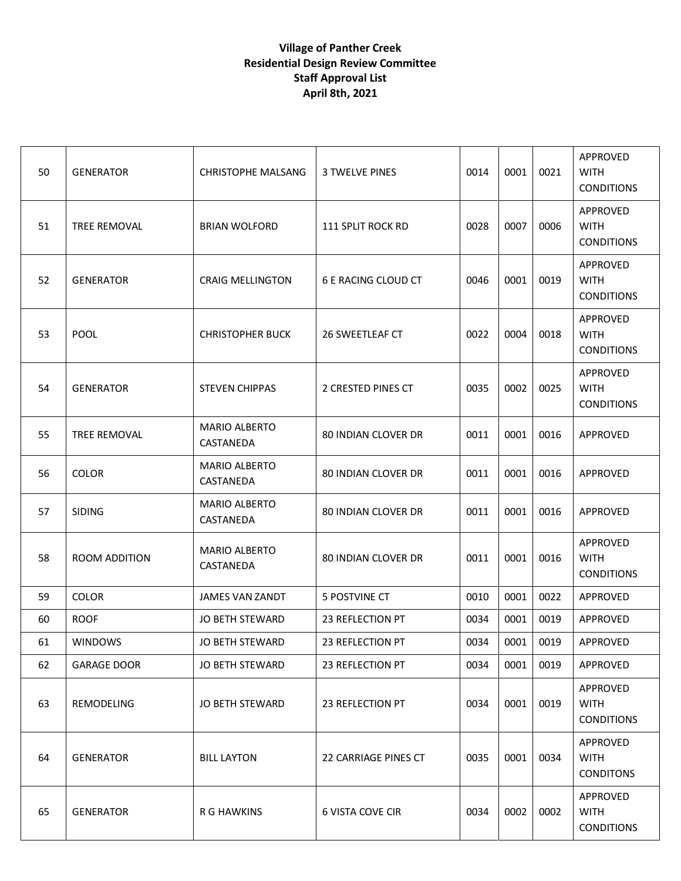| 50 | <b>GENERATOR</b>    | <b>CHRISTOPHE MALSANG</b>         | <b>3 TWELVE PINES</b>      | 0014 | 0001 | 0021 | APPROVED<br><b>WITH</b><br><b>CONDITIONS</b> |
|----|---------------------|-----------------------------------|----------------------------|------|------|------|----------------------------------------------|
| 51 | <b>TREE REMOVAL</b> | <b>BRIAN WOLFORD</b>              | <b>111 SPLIT ROCK RD</b>   | 0028 | 0007 | 0006 | APPROVED<br><b>WITH</b><br><b>CONDITIONS</b> |
| 52 | <b>GENERATOR</b>    | <b>CRAIG MELLINGTON</b>           | 6 E RACING CLOUD CT        | 0046 | 0001 | 0019 | APPROVED<br><b>WITH</b><br><b>CONDITIONS</b> |
| 53 | <b>POOL</b>         | <b>CHRISTOPHER BUCK</b>           | 26 SWEETLEAF CT            | 0022 | 0004 | 0018 | APPROVED<br><b>WITH</b><br><b>CONDITIONS</b> |
| 54 | <b>GENERATOR</b>    | <b>STEVEN CHIPPAS</b>             | 2 CRESTED PINES CT         | 0035 | 0002 | 0025 | APPROVED<br><b>WITH</b><br><b>CONDITIONS</b> |
| 55 | <b>TREE REMOVAL</b> | <b>MARIO ALBERTO</b><br>CASTANEDA | <b>80 INDIAN CLOVER DR</b> | 0011 | 0001 | 0016 | APPROVED                                     |
| 56 | <b>COLOR</b>        | <b>MARIO ALBERTO</b><br>CASTANEDA | <b>80 INDIAN CLOVER DR</b> | 0011 | 0001 | 0016 | APPROVED                                     |
| 57 | <b>SIDING</b>       | <b>MARIO ALBERTO</b><br>CASTANEDA | 80 INDIAN CLOVER DR        | 0011 | 0001 | 0016 | APPROVED                                     |
| 58 | ROOM ADDITION       | <b>MARIO ALBERTO</b><br>CASTANEDA | 80 INDIAN CLOVER DR        | 0011 | 0001 | 0016 | APPROVED<br><b>WITH</b><br><b>CONDITIONS</b> |
| 59 | <b>COLOR</b>        | <b>JAMES VAN ZANDT</b>            | 5 POSTVINE CT              | 0010 | 0001 | 0022 | APPROVED                                     |
| 60 | <b>ROOF</b>         | <b>JO BETH STEWARD</b>            | 23 REFLECTION PT           | 0034 | 0001 | 0019 | APPROVED                                     |
| 61 | <b>WINDOWS</b>      | JO BETH STEWARD                   | 23 REFLECTION PT           | 0034 | 0001 | 0019 | APPROVED                                     |
| 62 | <b>GARAGE DOOR</b>  | JO BETH STEWARD                   | 23 REFLECTION PT           | 0034 | 0001 | 0019 | APPROVED                                     |
| 63 | REMODELING          | <b>JO BETH STEWARD</b>            | 23 REFLECTION PT           | 0034 | 0001 | 0019 | APPROVED<br><b>WITH</b><br><b>CONDITIONS</b> |
| 64 | <b>GENERATOR</b>    | <b>BILL LAYTON</b>                | 22 CARRIAGE PINES CT       | 0035 | 0001 | 0034 | APPROVED<br><b>WITH</b><br><b>CONDITONS</b>  |
| 65 | <b>GENERATOR</b>    | R G HAWKINS                       | <b>6 VISTA COVE CIR</b>    | 0034 | 0002 | 0002 | APPROVED<br><b>WITH</b><br><b>CONDITIONS</b> |